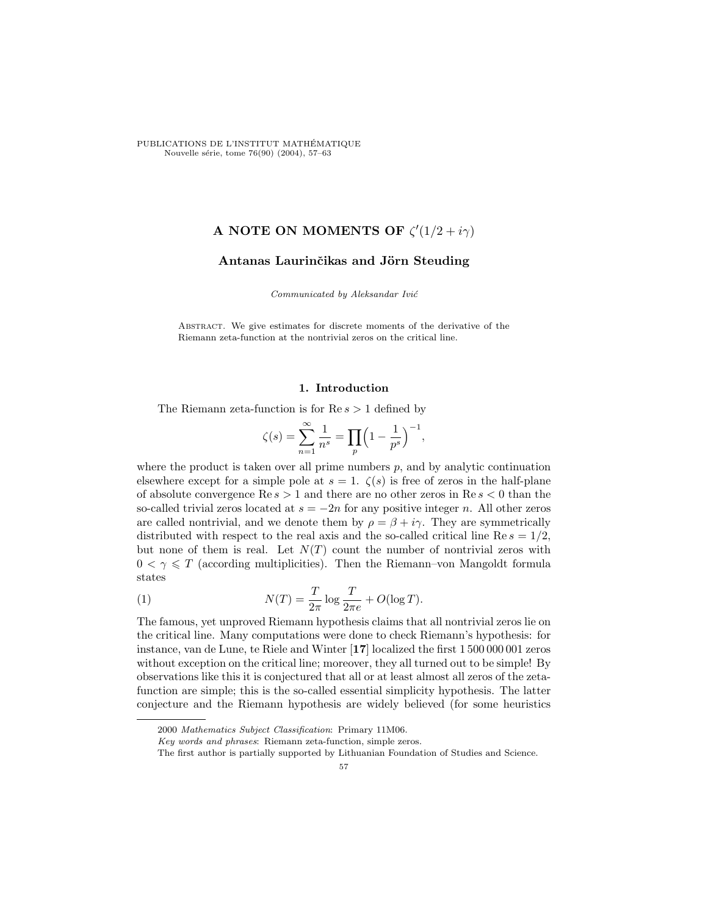PUBLICATIONS DE L'INSTITUT MATHEMATIQUE ´ Nouvelle série, tome 76(90) (2004), 57–63

# A NOTE ON MOMENTS OF  $\zeta'(1/2 + i\gamma)$

# Antanas Laurinčikas and Jörn Steuding

Communicated by Aleksandar Ivić

Abstract. We give estimates for discrete moments of the derivative of the Riemann zeta-function at the nontrivial zeros on the critical line.

## 1. Introduction

The Riemann zeta-function is for  $\text{Re } s > 1$  defined by

$$
\zeta(s) = \sum_{n=1}^{\infty} \frac{1}{n^s} = \prod_p \left(1 - \frac{1}{p^s}\right)^{-1},
$$

where the product is taken over all prime numbers  $p$ , and by analytic continuation elsewhere except for a simple pole at  $s = 1$ .  $\zeta(s)$  is free of zeros in the half-plane of absolute convergence  $\text{Re } s > 1$  and there are no other zeros in  $\text{Re } s < 0$  than the so-called trivial zeros located at  $s = -2n$  for any positive integer n. All other zeros are called nontrivial, and we denote them by  $\rho = \beta + i\gamma$ . They are symmetrically distributed with respect to the real axis and the so-called critical line Re  $s = 1/2$ , but none of them is real. Let  $N(T)$  count the number of nontrivial zeros with  $0 < \gamma \leq T$  (according multiplicities). Then the Riemann-von Mangoldt formula states

(1) 
$$
N(T) = \frac{T}{2\pi} \log \frac{T}{2\pi e} + O(\log T).
$$

The famous, yet unproved Riemann hypothesis claims that all nontrivial zeros lie on the critical line. Many computations were done to check Riemann's hypothesis: for instance, van de Lune, te Riele and Winter [17] localized the first 1 500 000 001 zeros without exception on the critical line; moreover, they all turned out to be simple! By observations like this it is conjectured that all or at least almost all zeros of the zetafunction are simple; this is the so-called essential simplicity hypothesis. The latter conjecture and the Riemann hypothesis are widely believed (for some heuristics

<sup>2000</sup> Mathematics Subject Classification: Primary 11M06.

Key words and phrases: Riemann zeta-function, simple zeros.

The first author is partially supported by Lithuanian Foundation of Studies and Science.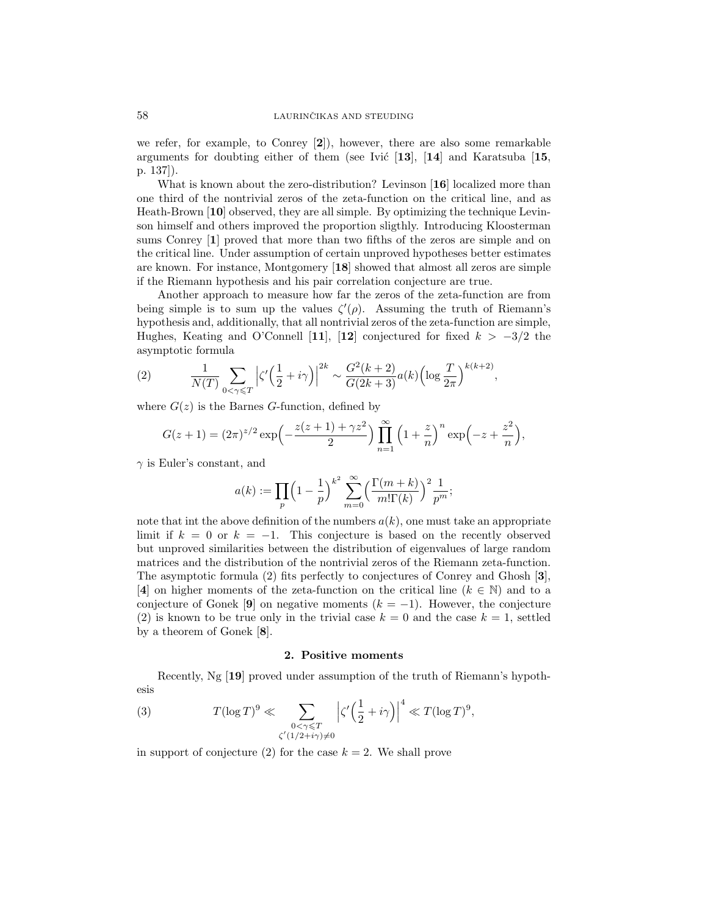we refer, for example, to Conrey  $[2]$ ), however, there are also some remarkable arguments for doubting either of them (see Ivic  $\left[13\right]$ ,  $\left[14\right]$  and Karatsuba  $\left[15\right]$ p. 137]).

What is known about the zero-distribution? Levinson [16] localized more than one third of the nontrivial zeros of the zeta-function on the critical line, and as Heath-Brown [10] observed, they are all simple. By optimizing the technique Levinson himself and others improved the proportion sligthly. Introducing Kloosterman sums Conrey [1] proved that more than two fifths of the zeros are simple and on the critical line. Under assumption of certain unproved hypotheses better estimates are known. For instance, Montgomery [18] showed that almost all zeros are simple if the Riemann hypothesis and his pair correlation conjecture are true.

Another approach to measure how far the zeros of the zeta-function are from being simple is to sum up the values  $\zeta'(\rho)$ . Assuming the truth of Riemann's hypothesis and, additionally, that all nontrivial zeros of the zeta-function are simple, Hughes, Keating and O'Connell [11], [12] conjectured for fixed  $k > -3/2$  the asymptotic formula

(2) 
$$
\frac{1}{N(T)} \sum_{0 < \gamma \leq T} \left| \zeta' \left( \frac{1}{2} + i\gamma \right) \right|^{2k} \sim \frac{G^2(k+2)}{G(2k+3)} a(k) \left( \log \frac{T}{2\pi} \right)^{k(k+2)},
$$

where  $G(z)$  is the Barnes G-function, defined by

$$
G(z+1) = (2\pi)^{z/2} \exp\left(-\frac{z(z+1) + \gamma z^2}{2}\right) \prod_{n=1}^{\infty} \left(1 + \frac{z}{n}\right)^n \exp\left(-z + \frac{z^2}{n}\right),
$$

 $\gamma$  is Euler's constant, and

$$
a(k) := \prod_{p} \left(1 - \frac{1}{p}\right)^{k^2} \sum_{m=0}^{\infty} \left(\frac{\Gamma(m+k)}{m!\Gamma(k)}\right)^2 \frac{1}{p^m};
$$

note that int the above definition of the numbers  $a(k)$ , one must take an appropriate limit if  $k = 0$  or  $k = -1$ . This conjecture is based on the recently observed but unproved similarities between the distribution of eigenvalues of large random matrices and the distribution of the nontrivial zeros of the Riemann zeta-function. The asymptotic formula (2) fits perfectly to conjectures of Conrey and Ghosh [3], [4] on higher moments of the zeta-function on the critical line ( $k \in \mathbb{N}$ ) and to a conjecture of Gonek [9] on negative moments  $(k = -1)$ . However, the conjecture (2) is known to be true only in the trivial case  $k = 0$  and the case  $k = 1$ , settled by a theorem of Gonek [8].

## 2. Positive moments

Recently, Ng [19] proved under assumption of the truth of Riemann's hypothesis

(3) 
$$
T(\log T)^9 \ll \sum_{\substack{0 < \gamma \leq T \\ \zeta'(1/2 + i\gamma) \neq 0}} \left| \zeta' \left( \frac{1}{2} + i\gamma \right) \right|^4 \ll T(\log T)^9,
$$

in support of conjecture (2) for the case  $k = 2$ . We shall prove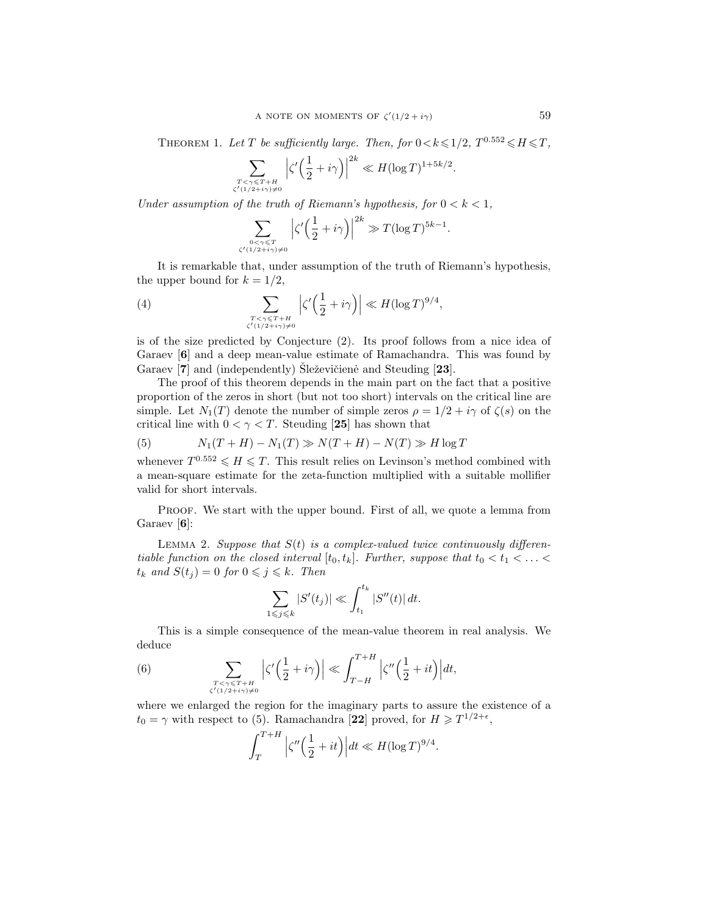THEOREM 1. Let T be sufficiently large. Then, for  $0 < k \leqslant 1/2$ ,  $T^{0.552} \leqslant H \leqslant T$ ,

$$
\sum_{T < \gamma \leq T+H \atop \zeta'(1/2+i\gamma)\neq 0} \left| \zeta' \left( \frac{1}{2} + i\gamma \right) \right|^{2k} \ll H(\log T)^{1+5k/2}.
$$

Under assumption of the truth of Riemann's hypothesis, for  $0 < k < 1$ ,

$$
\sum_{\substack{0<\gamma\leqslant T\\ \zeta'(1/2+i\gamma)\neq 0}} \left|\zeta'\left(\frac{1}{2}+i\gamma\right)\right|^{2k} \gg T(\log T)^{5k-1}.
$$

It is remarkable that, under assumption of the truth of Riemann's hypothesis, the upper bound for  $k = 1/2$ ,

(4) 
$$
\sum_{\substack{T < \gamma \leq T + H \\ \zeta'(1/2 + i\gamma) \neq 0}} \left| \zeta' \left( \frac{1}{2} + i\gamma \right) \right| \ll H (\log T)^{9/4},
$$

is of the size predicted by Conjecture (2). Its proof follows from a nice idea of Garaev [6] and a deep mean-value estimate of Ramachandra. This was found by Garaev  $\vert 7 \vert$  and (independently) Sleževičienė and Steuding  $\vert 23 \vert$ .

The proof of this theorem depends in the main part on the fact that a positive proportion of the zeros in short (but not too short) intervals on the critical line are simple. Let  $N_1(T)$  denote the number of simple zeros  $\rho = 1/2 + i\gamma$  of  $\zeta(s)$  on the critical line with  $0 < \gamma < T$ . Steuding [25] has shown that

(5) 
$$
N_1(T+H) - N_1(T) \gg N(T+H) - N(T) \gg H \log T
$$

whenever  $T^{0.552} \le H \le T$ . This result relies on Levinson's method combined with a mean-square estimate for the zeta-function multiplied with a suitable mollifier valid for short intervals.

PROOF. We start with the upper bound. First of all, we quote a lemma from Garaev [**6**]:

LEMMA 2. Suppose that  $S(t)$  is a complex-valued twice continuously differentiable function on the closed interval  $[t_0, t_k]$ . Further, suppose that  $t_0 < t_1 < \ldots <$  $t_k$  and  $S(t_j) = 0$  for  $0 \leq j \leq k$ . Then

$$
\sum_{1 \leq j \leq k} |S'(t_j)| \ll \int_{t_1}^{t_k} |S''(t)| dt.
$$

This is a simple consequence of the mean-value theorem in real analysis. We deduce

(6) 
$$
\sum_{\substack{T < \gamma \leq T+H \\ \zeta'(1/2+i\gamma) \neq 0}} \left| \zeta' \left( \frac{1}{2} + i\gamma \right) \right| \ll \int_{T-H}^{T+H} \left| \zeta'' \left( \frac{1}{2} + it \right) \right| dt,
$$

where we enlarged the region for the imaginary parts to assure the existence of a  $t_0 = \gamma$  with respect to (5). Ramachandra [22] proved, for  $H \geq T^{1/2+\epsilon}$ ,

$$
\int_T^{T+H} \left| \zeta''\Big(\frac{1}{2} + it\Big) \right| dt \ll H(\log T)^{9/4}.
$$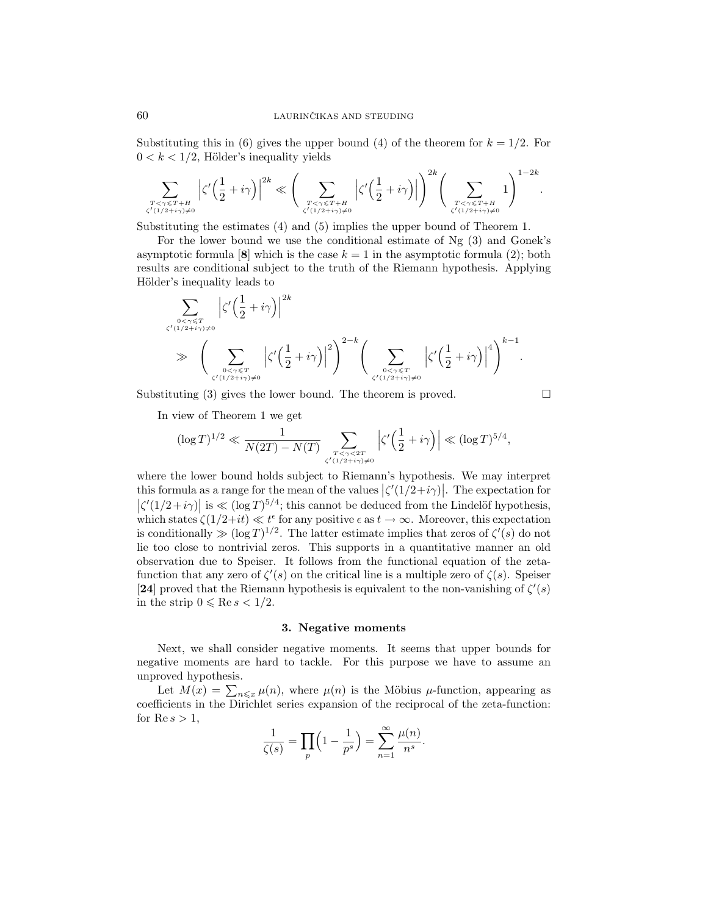Substituting this in (6) gives the upper bound (4) of the theorem for  $k = 1/2$ . For  $0 < k < 1/2$ , Hölder's inequality yields

$$
\sum_{T<\gamma\leqslant T+H\atop{\zeta'(1/2+i\gamma)\neq 0}}\Big|\zeta'\Big(\frac{1}{2}+i\gamma\Big)\Big|^{2k}\ll \Bigg(\sum_{T<\gamma\leqslant T+H\atop{\zeta'(1/2+i\gamma)\neq 0}}\Big|\zeta'\Big(\frac{1}{2}+i\gamma\Big)\Big|\Bigg)^{2k}\Bigg(\sum_{T<\gamma\leqslant T+H\atop{\zeta'(1/2+i\gamma)\neq 0}}1\Bigg)^{1-2k}.
$$

Substituting the estimates (4) and (5) implies the upper bound of Theorem 1.

For the lower bound we use the conditional estimate of Ng (3) and Gonek's asymptotic formula [8] which is the case  $k = 1$  in the asymptotic formula (2); both results are conditional subject to the truth of the Riemann hypothesis. Applying Hölder's inequality leads to

$$
\sum_{\substack{0 < \gamma \leqslant T \\ \zeta'(1/2 + i\gamma) \neq 0}} \left| \zeta' \left( \frac{1}{2} + i\gamma \right) \right|^{2k}
$$
\n
$$
\gg \left( \sum_{\substack{0 < \gamma \leqslant T \\ \zeta'(1/2 + i\gamma) \neq 0}} \left| \zeta' \left( \frac{1}{2} + i\gamma \right) \right|^2 \right)^{2-k} \left( \sum_{\substack{0 < \gamma \leqslant T \\ \zeta'(1/2 + i\gamma) \neq 0}} \left| \zeta' \left( \frac{1}{2} + i\gamma \right) \right|^4 \right)^{k-1}.
$$

Substituting (3) gives the lower bound. The theorem is proved.  $\Box$ 

In view of Theorem 1 we get

$$
(\log T)^{1/2} \ll \frac{1}{N(2T) - N(T)} \sum_{T < \gamma < 2T \atop {\zeta'(1/2 + i\gamma) \neq 0}} \left| \zeta' \Big( \frac{1}{2} + i\gamma \Big) \right| \ll (\log T)^{5/4},
$$

where the lower bound holds subject to Riemann's hypothesis. We may interpret this formula as a range for the mean of the values  $|\zeta'(1/2+i\gamma)|$ . The expectation for  $\int \zeta'(1/2+i\gamma)$ as a range for the mean of the values  $\left| \zeta \left( 1/2 + r \gamma \right) \right|$ . The expectation for  $\left| \right|$  is  $\ll (\log T)^{5/4}$ ; this cannot be deduced from the Lindelöf hypothesis, which states  $\zeta(1/2+it) \ll t^{\epsilon}$  for any positive  $\epsilon$  as  $t \to \infty$ . Moreover, this expectation is conditionally  $\gg (\log T)^{1/2}$ . The latter estimate implies that zeros of  $\zeta'(s)$  do not lie too close to nontrivial zeros. This supports in a quantitative manner an old observation due to Speiser. It follows from the functional equation of the zetafunction that any zero of  $\zeta'(s)$  on the critical line is a multiple zero of  $\zeta(s)$ . Speiser [24] proved that the Riemann hypothesis is equivalent to the non-vanishing of  $\zeta'(s)$ in the strip  $0 \leqslant \text{Re } s < 1/2$ .

#### 3. Negative moments

Next, we shall consider negative moments. It seems that upper bounds for negative moments are hard to tackle. For this purpose we have to assume an unproved hypothesis.

Let  $M(x) = \sum_{n \leq x} \mu(n)$ , where  $\mu(n)$  is the Möbius  $\mu$ -function, appearing as coefficients in the Dirichlet series expansion of the reciprocal of the zeta-function: for  $\text{Re } s > 1$ ,

$$
\frac{1}{\zeta(s)} = \prod_p \left(1 - \frac{1}{p^s}\right) = \sum_{n=1}^{\infty} \frac{\mu(n)}{n^s}.
$$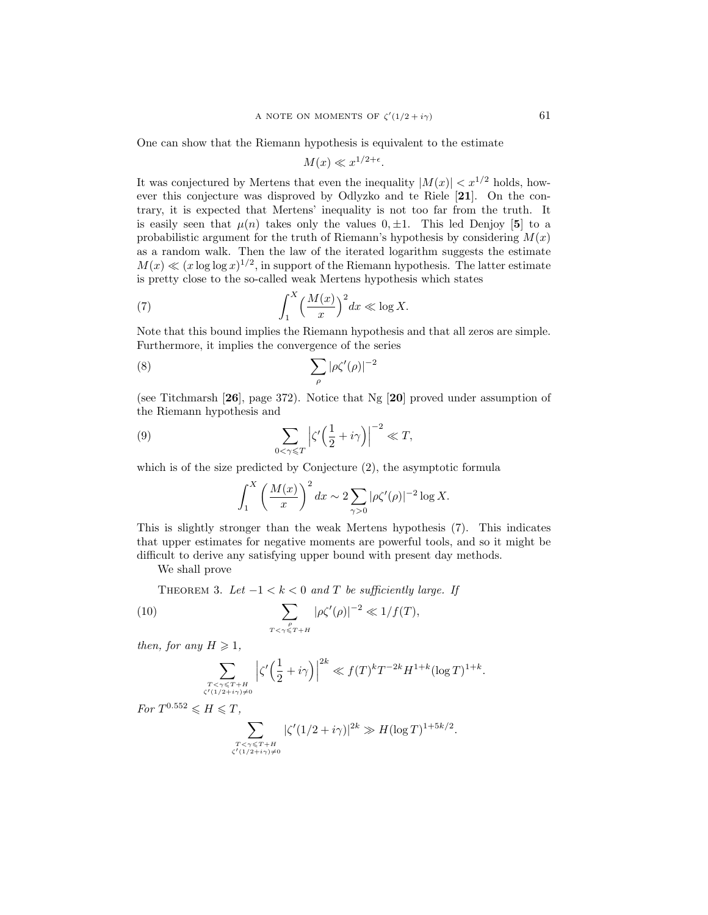One can show that the Riemann hypothesis is equivalent to the estimate

$$
M(x) \ll x^{1/2 + \epsilon}.
$$

It was conjectured by Mertens that even the inequality  $|M(x)| < x^{1/2}$  holds, however this conjecture was disproved by Odlyzko and te Riele [21]. On the contrary, it is expected that Mertens' inequality is not too far from the truth. It is easily seen that  $\mu(n)$  takes only the values  $0, \pm 1$ . This led Denjoy [5] to a probabilistic argument for the truth of Riemann's hypothesis by considering  $M(x)$ as a random walk. Then the law of the iterated logarithm suggests the estimate  $M(x) \ll (x \log \log x)^{1/2}$ , in support of the Riemann hypothesis. The latter estimate is pretty close to the so-called weak Mertens hypothesis which states

(7) 
$$
\int_{1}^{X} \left(\frac{M(x)}{x}\right)^{2} dx \ll \log X.
$$

Note that this bound implies the Riemann hypothesis and that all zeros are simple. Furthermore, it implies the convergence of the series

$$
\sum_{\rho} |\rho \zeta'(\rho)|^{-2}
$$

(see Titchmarsh [26], page 372). Notice that Ng [20] proved under assumption of the Riemann hypothesis and

(9) 
$$
\sum_{0 < \gamma \leq T} \left| \zeta' \left( \frac{1}{2} + i\gamma \right) \right|^{-2} \ll T,
$$

which is of the size predicted by Conjecture (2), the asymptotic formula

$$
\int_1^X \left(\frac{M(x)}{x}\right)^2 dx \sim 2 \sum_{\gamma>0} |\rho\zeta'(\rho)|^{-2} \log X.
$$

This is slightly stronger than the weak Mertens hypothesis (7). This indicates that upper estimates for negative moments are powerful tools, and so it might be difficult to derive any satisfying upper bound with present day methods.

We shall prove

THEOREM 3. Let  $-1 < k < 0$  and T be sufficiently large. If

(10) 
$$
\sum_{\substack{\rho \ \tau < \gamma \leq T+H}} |\rho \zeta'(\rho)|^{-2} \ll 1/f(T),
$$

then, for any  $H \geq 1$ ,

$$
\sum_{T < \gamma \leq T+H \atop \zeta'(1/2+i\gamma) \neq 0} \left| \zeta' \left( \frac{1}{2} + i\gamma \right) \right|^{2k} \ll f(T)^k T^{-2k} H^{1+k} (\log T)^{1+k}.
$$

For  $T^{0.552} \leq H \leq T$ ,

$$
\sum_{T < \gamma \leq T+H \atop \zeta'(1/2+i\gamma) \neq 0} |\zeta'(1/2+i\gamma)|^{2k} \gg H(\log T)^{1+5k/2}
$$

.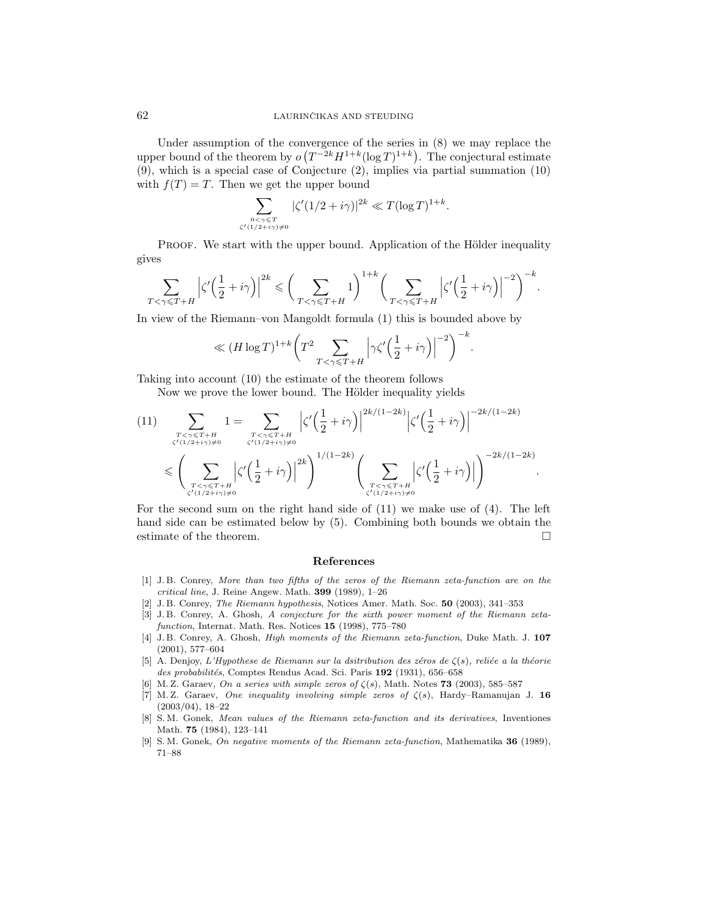Under assumption of the convergence of the series in  $(8)$  we may replace the upper bound of the theorem by  $o(T^{-2k}H^{1+k}(\log T)^{1+k})$ . The conjectural estimate (9), which is a special case of Conjecture (2), implies via partial summation (10) with  $f(T) = T$ . Then we get the upper bound

$$
\sum_{\substack{0<\gamma\leqslant T\\ \zeta'(1/2+i\gamma)\neq 0}} |\zeta'(1/2+i\gamma)|^{2k} \ll T(\log T)^{1+k}.
$$

PROOF. We start with the upper bound. Application of the Hölder inequality gives

$$
\sum_{T<\gamma\leqslant T+H}\left|\zeta'\Big(\frac{1}{2}+i\gamma\Big)\right|^{2k}\leqslant \bigg(\sum_{T<\gamma\leqslant T+H}1\bigg)^{1+k}\bigg(\sum_{T<\gamma\leqslant T+H}\left|\zeta'\Big(\frac{1}{2}+i\gamma\Big)\right|^{-2}\bigg)^{-k}.
$$

In view of the Riemann–von Mangoldt formula (1) this is bounded above by

$$
\ll (H\log T)^{1+k}\bigg(T^2\sum_{T<\gamma\leqslant T+H}\Big|\gamma\zeta'\Big(\frac{1}{2}+i\gamma\Big)\Big|^{-2}\bigg)^{-k}.
$$

Taking into account (10) the estimate of the theorem follows

Now we prove the lower bound. The Hölder inequality yields

$$
(11) \sum_{\substack{T < \gamma \leq T+H \\ \zeta'(1/2+i\gamma) \neq 0}} 1 = \sum_{\substack{T < \gamma \leq T+H \\ \zeta'(1/2+i\gamma) \neq 0}} \left| \zeta' \left( \frac{1}{2} + i\gamma \right) \right|^{2k/(1-2k)} \left| \zeta' \left( \frac{1}{2} + i\gamma \right) \right|^{-2k/(1-2k)} \\
\leqslant \left( \sum_{\substack{T < \gamma \leq T+H \\ \zeta'(1/2+i\gamma) \neq 0}} \left| \zeta' \left( \frac{1}{2} + i\gamma \right) \right|^{2k} \right)^{1/(1-2k)} \left( \sum_{\substack{T < \gamma \leq T+H \\ \zeta'(1/2+i\gamma) \neq 0}} \left| \zeta' \left( \frac{1}{2} + i\gamma \right) \right| \right)^{-2k/(1-2k)}.
$$

For the second sum on the right hand side of  $(11)$  we make use of  $(4)$ . The left hand side can be estimated below by (5). Combining both bounds we obtain the estimate of the theorem.  $\Box$ 

#### References

- [1] J. B. Conrey, More than two fifths of the zeros of the Riemann zeta-function are on the critical line, J. Reine Angew. Math. 399 (1989), 1–26
- [2] J. B. Conrey, The Riemann hypothesis, Notices Amer. Math. Soc. 50 (2003), 341–353
- [3] J. B. Conrey, A. Ghosh, A conjecture for the sixth power moment of the Riemann zetafunction, Internat. Math. Res. Notices 15 (1998), 775–780
- [4] J. B. Conrey, A. Ghosh, High moments of the Riemann zeta-function, Duke Math. J. 107 (2001), 577–604
- [5] A. Denjoy, L'Hypothese de Riemann sur la dsitribution des zéros de  $\zeta(s)$ , reliée a la théorie des probabilités, Comptes Rendus Acad. Sci. Paris 192 (1931), 656–658
- [6] M. Z. Garaev, On a series with simple zeros of  $\zeta(s)$ , Math. Notes 73 (2003), 585–587
- [7] M. Z. Garaev, One inequality involving simple zeros of  $\zeta(s)$ , Hardy–Ramanujan J. 16 (2003/04), 18–22
- [8] S. M. Gonek, Mean values of the Riemann zeta-function and its derivatives, Inventiones Math. 75 (1984), 123–141
- [9] S. M. Gonek, On negative moments of the Riemann zeta-function, Mathematika 36 (1989), 71–88